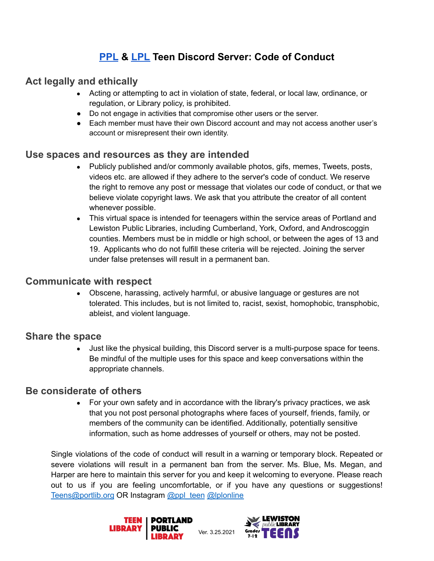# **[PPL](https://www.portlandlibrary.com/for-you/teens/) & [LPL](http://lplonline.org/teens/) Teen Discord Server: Code of Conduct**

## **Act legally and ethically**

- Acting or attempting to act in violation of state, federal, or local law, ordinance, or regulation, or Library policy, is prohibited.
- Do not engage in activities that compromise other users or the server.
- Each member must have their own Discord account and may not access another user's account or misrepresent their own identity.

### **Use spaces and resources as they are intended**

- Publicly published and/or commonly available photos, gifs, memes, Tweets, posts, videos etc. are allowed if they adhere to the server's code of conduct. We reserve the right to remove any post or message that violates our code of conduct, or that we believe violate copyright laws. We ask that you attribute the creator of all content whenever possible.
- This virtual space is intended for teenagers within the service areas of Portland and Lewiston Public Libraries, including Cumberland, York, Oxford, and Androscoggin counties. Members must be in middle or high school, or between the ages of 13 and 19. Applicants who do not fulfill these criteria will be rejected. Joining the server under false pretenses will result in a permanent ban.

#### **Communicate with respect**

• Obscene, harassing, actively harmful, or abusive language or gestures are not tolerated. This includes, but is not limited to, racist, sexist, homophobic, transphobic, ableist, and violent language.

#### **Share the space**

• Just like the physical building, this Discord server is a multi-purpose space for teens. Be mindful of the multiple uses for this space and keep conversations within the appropriate channels.

#### **Be considerate of others**

• For your own safety and in accordance with the library's privacy practices, we ask that you not post personal photographs where faces of yourself, friends, family, or members of the community can be identified. Additionally, potentially sensitive information, such as home addresses of yourself or others, may not be posted.

Single violations of the code of conduct will result in a warning or temporary block. Repeated or severe violations will result in a permanent ban from the server. Ms. Blue, Ms. Megan, and Harper are here to maintain this server for you and keep it welcoming to everyone. Please reach out to us if you are feeling uncomfortable, or if you have any questions or suggestions! Teens@portlib.org OR Instagram [@ppl\\_teen](https://www.instagram.com/) [@lplonline](https://www.instagram.com/lplonline/)